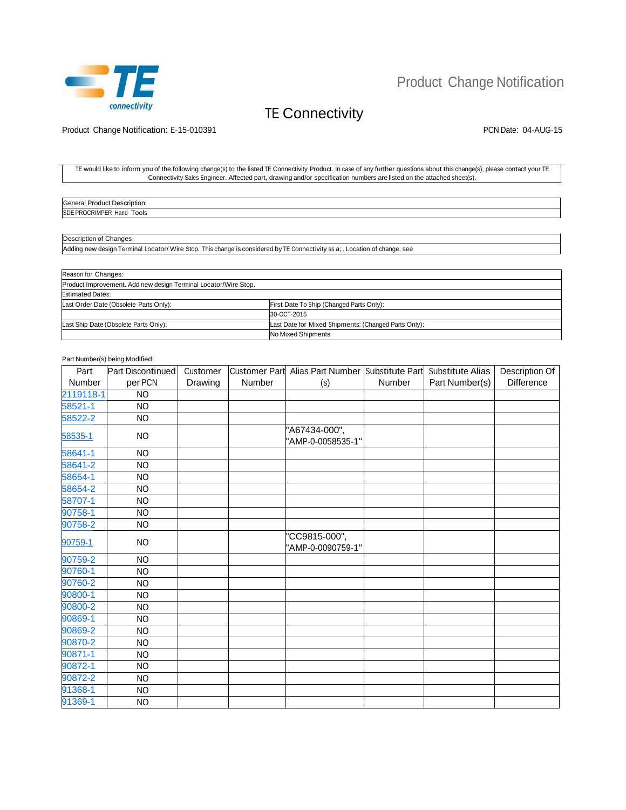

# Product Change Notification

# TE Connectivity

Product Change Notification: E-15-010391 PCN Date: 04-AUG-15

### TE would like to inform you of the following change(s) to the listed TE Connectivity Product. In case of any further questions about this change(s), please contact your TE Connectivity Sales Engineer. Affected part, drawing and/or specification numbers are listed on the attached sheet(s).

| lGeneral<br>Description:<br>. Product         |  |
|-----------------------------------------------|--|
| <b>SDE PR</b><br>⊺ools<br>URIMP.<br>Hano<br>. |  |

## Description of Changes

Adding new design Terminal Locator/ Wire Stop. This change is considered by TE Connectivity as a; . Location of change, see

| Reason for Changes:                                             |                                                      |  |  |  |
|-----------------------------------------------------------------|------------------------------------------------------|--|--|--|
| Product Improvement. Add new design Terminal Locator/Wire Stop. |                                                      |  |  |  |
| <b>Estimated Dates:</b>                                         |                                                      |  |  |  |
| Last Order Date (Obsolete Parts Only):                          | First Date To Ship (Changed Parts Only):             |  |  |  |
|                                                                 | 30-OCT-2015                                          |  |  |  |
| Last Ship Date (Obsolete Parts Only):                           | Last Date for Mixed Shipments: (Changed Parts Only): |  |  |  |
|                                                                 | No Mixed Shipments                                   |  |  |  |

### Part Number(s) being Modified:

| Part      | Part Discontinued | Customer |        | Customer Part Alias Part Number Substitute Part Substitute Alias |        |                | Description Of    |
|-----------|-------------------|----------|--------|------------------------------------------------------------------|--------|----------------|-------------------|
| Number    | per PCN           | Drawing  | Number | (s)                                                              | Number | Part Number(s) | <b>Difference</b> |
| 2119118-1 | <b>NO</b>         |          |        |                                                                  |        |                |                   |
| 58521-1   | <b>NO</b>         |          |        |                                                                  |        |                |                   |
| 58522-2   | <b>NO</b>         |          |        |                                                                  |        |                |                   |
| 58535-1   | <b>NO</b>         |          |        | "A67434-000",<br>"AMP-0-0058535-1"                               |        |                |                   |
| 58641-1   | <b>NO</b>         |          |        |                                                                  |        |                |                   |
| 58641-2   | <b>NO</b>         |          |        |                                                                  |        |                |                   |
| 58654-1   | <b>NO</b>         |          |        |                                                                  |        |                |                   |
| 58654-2   | <b>NO</b>         |          |        |                                                                  |        |                |                   |
| 58707-1   | <b>NO</b>         |          |        |                                                                  |        |                |                   |
| 90758-1   | <b>NO</b>         |          |        |                                                                  |        |                |                   |
| 90758-2   | <b>NO</b>         |          |        |                                                                  |        |                |                   |
| 90759-1   | <b>NO</b>         |          |        | "CC9815-000",<br>"AMP-0-0090759-1"                               |        |                |                   |
| 90759-2   | <b>NO</b>         |          |        |                                                                  |        |                |                   |
| 90760-1   | <b>NO</b>         |          |        |                                                                  |        |                |                   |
| 90760-2   | <b>NO</b>         |          |        |                                                                  |        |                |                   |
| 90800-1   | <b>NO</b>         |          |        |                                                                  |        |                |                   |
| 90800-2   | <b>NO</b>         |          |        |                                                                  |        |                |                   |
| 90869-1   | <b>NO</b>         |          |        |                                                                  |        |                |                   |
| 90869-2   | <b>NO</b>         |          |        |                                                                  |        |                |                   |
| 90870-2   | <b>NO</b>         |          |        |                                                                  |        |                |                   |
| 90871-1   | <b>NO</b>         |          |        |                                                                  |        |                |                   |
| 90872-1   | <b>NO</b>         |          |        |                                                                  |        |                |                   |
| 90872-2   | NO.               |          |        |                                                                  |        |                |                   |
| 91368-1   | <b>NO</b>         |          |        |                                                                  |        |                |                   |
| 91369-1   | <b>NO</b>         |          |        |                                                                  |        |                |                   |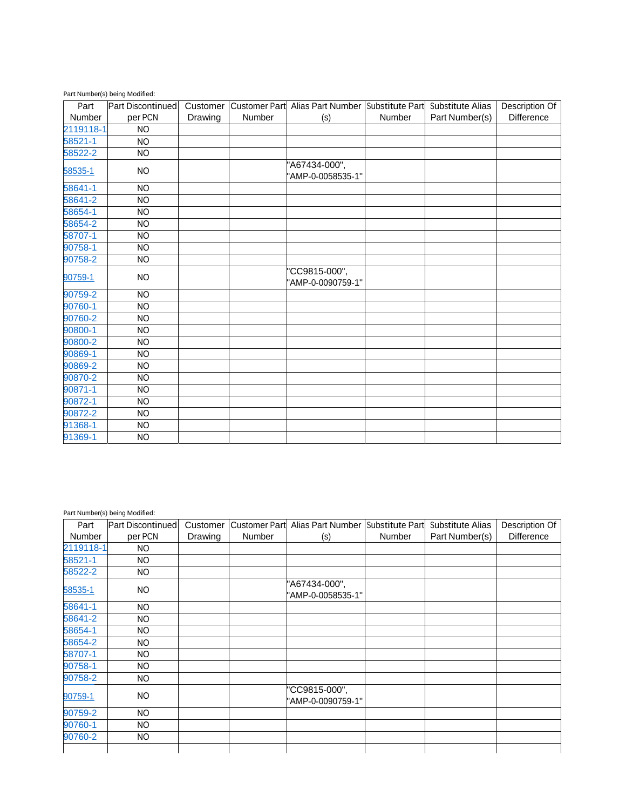| Part      | <b>Part Discontinued</b> | Customer |        | Customer Part Alias Part Number Substitute Part |        | Substitute Alias | Description Of    |
|-----------|--------------------------|----------|--------|-------------------------------------------------|--------|------------------|-------------------|
| Number    | per PCN                  | Drawing  | Number | (s)                                             | Number | Part Number(s)   | <b>Difference</b> |
| 2119118-1 | <b>NO</b>                |          |        |                                                 |        |                  |                   |
| 58521-1   | <b>NO</b>                |          |        |                                                 |        |                  |                   |
| 58522-2   | <b>NO</b>                |          |        |                                                 |        |                  |                   |
| 58535-1   | <b>NO</b>                |          |        | "A67434-000",<br>'AMP-0-0058535-1"              |        |                  |                   |
| 58641-1   | <b>NO</b>                |          |        |                                                 |        |                  |                   |
| 58641-2   | <b>NO</b>                |          |        |                                                 |        |                  |                   |
| 58654-1   | <b>NO</b>                |          |        |                                                 |        |                  |                   |
| 58654-2   | <b>NO</b>                |          |        |                                                 |        |                  |                   |
| 58707-1   | <b>NO</b>                |          |        |                                                 |        |                  |                   |
| 90758-1   | <b>NO</b>                |          |        |                                                 |        |                  |                   |
| 90758-2   | <b>NO</b>                |          |        |                                                 |        |                  |                   |
| 90759-1   | <b>NO</b>                |          |        | "CC9815-000",<br>'AMP-0-0090759-1"              |        |                  |                   |
| 90759-2   | <b>NO</b>                |          |        |                                                 |        |                  |                   |
| 90760-1   | <b>NO</b>                |          |        |                                                 |        |                  |                   |
| 90760-2   | <b>NO</b>                |          |        |                                                 |        |                  |                   |
| 90800-1   | <b>NO</b>                |          |        |                                                 |        |                  |                   |
| 90800-2   | <b>NO</b>                |          |        |                                                 |        |                  |                   |
| 90869-1   | <b>NO</b>                |          |        |                                                 |        |                  |                   |
| 90869-2   | <b>NO</b>                |          |        |                                                 |        |                  |                   |
| 90870-2   | <b>NO</b>                |          |        |                                                 |        |                  |                   |
| 90871-1   | <b>NO</b>                |          |        |                                                 |        |                  |                   |
| 90872-1   | <b>NO</b>                |          |        |                                                 |        |                  |                   |
| 90872-2   | <b>NO</b>                |          |        |                                                 |        |                  |                   |
| 91368-1   | <b>NO</b>                |          |        |                                                 |        |                  |                   |
| 91369-1   | <b>NO</b>                |          |        |                                                 |        |                  |                   |

Part Number(s) being Modified:

| Part          | <b>Part Discontinued</b> |         |        | Customer Customer Part Alias Part Number | Substitute Part | Substitute Alias | Description Of    |
|---------------|--------------------------|---------|--------|------------------------------------------|-----------------|------------------|-------------------|
| <b>Number</b> | per PCN                  | Drawing | Number | (s)                                      | <b>Number</b>   | Part Number(s)   | <b>Difference</b> |
| 2119118-1     | NO.                      |         |        |                                          |                 |                  |                   |
| 58521-1       | NO.                      |         |        |                                          |                 |                  |                   |
| 58522-2       | NO.                      |         |        |                                          |                 |                  |                   |
| 58535-1       | NO.                      |         |        | "A67434-000",<br>"AMP-0-0058535-1"       |                 |                  |                   |
| 58641-1       | NO.                      |         |        |                                          |                 |                  |                   |
| 58641-2       | NO.                      |         |        |                                          |                 |                  |                   |
| 58654-1       | NO.                      |         |        |                                          |                 |                  |                   |
| 58654-2       | NO.                      |         |        |                                          |                 |                  |                   |
| 58707-1       | NO.                      |         |        |                                          |                 |                  |                   |
| 90758-1       | NO.                      |         |        |                                          |                 |                  |                   |
| 90758-2       | NO.                      |         |        |                                          |                 |                  |                   |
| 90759-1       | NO.                      |         |        | "CC9815-000",<br>"AMP-0-0090759-1"       |                 |                  |                   |
| 90759-2       | NO.                      |         |        |                                          |                 |                  |                   |
| 90760-1       | NO.                      |         |        |                                          |                 |                  |                   |
| 90760-2       | NO.                      |         |        |                                          |                 |                  |                   |
|               |                          |         |        |                                          |                 |                  |                   |

Part Number(s) being Modified: